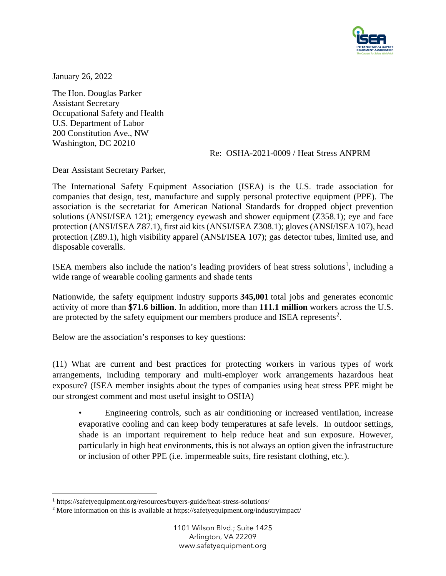

January 26, 2022

The Hon. Douglas Parker Assistant Secretary Occupational Safety and Health U.S. Department of Labor 200 Constitution Ave., NW Washington, DC 20210

## Re: OSHA-2021-0009 / Heat Stress ANPRM

Dear Assistant Secretary Parker,

The International Safety Equipment Association (ISEA) is the U.S. trade association for companies that design, test, manufacture and supply personal protective equipment (PPE). The association is the secretariat for American National Standards for dropped object prevention solutions (ANSI/ISEA 121); emergency eyewash and shower equipment (Z358.1); eye and face protection (ANSI/ISEA Z87.1), first aid kits (ANSI/ISEA Z308.1); gloves (ANSI/ISEA 107), head protection (Z89.1), high visibility apparel (ANSI/ISEA 107); gas detector tubes, limited use, and disposable coveralls.

ISEA members also include the nation's leading providers of heat stress solutions<sup>[1](#page-0-0)</sup>, including a wide range of wearable cooling garments and shade tents

Nationwide, the safety equipment industry supports **345,001** total jobs and generates economic activity of more than **\$71.6 billion**. In addition, more than **111.1 million** workers across the U.S. are protected by the safety equipment our members produce and ISEA represents<sup>[2](#page-0-1)</sup>.

Below are the association's responses to key questions:

(11) What are current and best practices for protecting workers in various types of work arrangements, including temporary and multi-employer work arrangements hazardous heat exposure? (ISEA member insights about the types of companies using heat stress PPE might be our strongest comment and most useful insight to OSHA)

• Engineering controls, such as air conditioning or increased ventilation, increase evaporative cooling and can keep body temperatures at safe levels. In outdoor settings, shade is an important requirement to help reduce heat and sun exposure. However, particularly in high heat environments, this is not always an option given the infrastructure or inclusion of other PPE (i.e. impermeable suits, fire resistant clothing, etc.).

<span id="page-0-0"></span><sup>1</sup> https://safetyequipment.org/resources/buyers-guide/heat-stress-solutions/

<span id="page-0-1"></span><sup>&</sup>lt;sup>2</sup> More information on this is available at https://safetyequipment.org/industryimpact/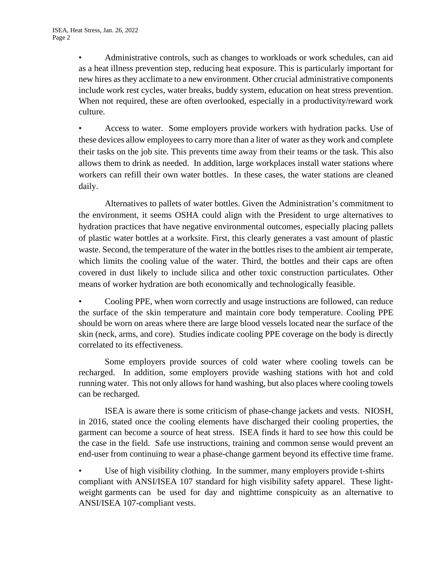• Administrative controls, such as changes to workloads or work schedules, can aid as a heat illness prevention step, reducing heat exposure. This is particularly important for new hires as they acclimate to a new environment. Other crucial administrative components include work rest cycles, water breaks, buddy system, education on heat stress prevention. When not required, these are often overlooked, especially in a productivity/reward work culture.

• Access to water. Some employers provide workers with hydration packs. Use of these devices allow employees to carry more than a liter of water as they work and complete their tasks on the job site. This prevents time away from their teams or the task. This also allows them to drink as needed. In addition, large workplaces install water stations where workers can refill their own water bottles. In these cases, the water stations are cleaned daily.

Alternatives to pallets of water bottles. Given the Administration's commitment to the environment, it seems OSHA could align with the President to urge alternatives to hydration practices that have negative environmental outcomes, especially placing pallets of plastic water bottles at a worksite. First, this clearly generates a vast amount of plastic waste. Second, the temperature of the water in the bottles rises to the ambient air temperate, which limits the cooling value of the water. Third, the bottles and their caps are often covered in dust likely to include silica and other toxic construction particulates. Other means of worker hydration are both economically and technologically feasible.

• Cooling PPE, when worn correctly and usage instructions are followed, can reduce the surface of the skin temperature and maintain core body temperature. Cooling PPE should be worn on areas where there are large blood vessels located near the surface of the skin (neck, arms, and core). Studies indicate cooling PPE coverage on the body is directly correlated to its effectiveness.

Some employers provide sources of cold water where cooling towels can be recharged. In addition, some employers provide washing stations with hot and cold running water. This not only allows for hand washing, but also places where cooling towels can be recharged.

ISEA is aware there is some criticism of phase-change jackets and vests. NIOSH, in 2016, stated once the cooling elements have discharged their cooling properties, the garment can become a source of heat stress. ISEA finds it hard to see how this could be the case in the field. Safe use instructions, training and common sense would prevent an end-user from continuing to wear a phase-change garment beyond its effective time frame.

Use of high visibility clothing. In the summer, many employers provide t-shirts compliant with ANSI/ISEA 107 standard for high visibility safety apparel. These lightweight garments can be used for day and nighttime conspicuity as an alternative to ANSI/ISEA 107-compliant vests.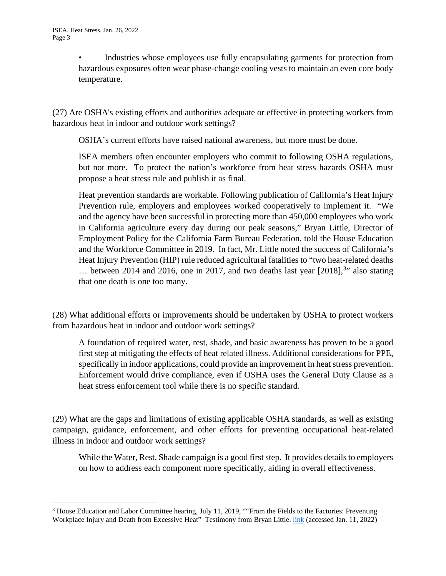Industries whose employees use fully encapsulating garments for protection from hazardous exposures often wear phase-change cooling vests to maintain an even core body temperature.

(27) Are OSHA's existing efforts and authorities adequate or effective in protecting workers from hazardous heat in indoor and outdoor work settings?

OSHA's current efforts have raised national awareness, but more must be done.

ISEA members often encounter employers who commit to following OSHA regulations, but not more. To protect the nation's workforce from heat stress hazards OSHA must propose a heat stress rule and publish it as final.

Heat prevention standards are workable. Following publication of California's Heat Injury Prevention rule, employers and employees worked cooperatively to implement it. "We and the agency have been successful in protecting more than 450,000 employees who work in California agriculture every day during our peak seasons," Bryan Little, Director of Employment Policy for the California Farm Bureau Federation, told the House Education and the Workforce Committee in 2019. In fact, Mr. Little noted the success of California's Heat Injury Prevention (HIP) rule reduced agricultural fatalities to "two heat-related deaths ... between 2014 and 2016, one in 2017, and two deaths last year [2018],<sup>[3](#page-2-0)</sup>" also stating that one death is one too many.

(28) What additional efforts or improvements should be undertaken by OSHA to protect workers from hazardous heat in indoor and outdoor work settings?

A foundation of required water, rest, shade, and basic awareness has proven to be a good first step at mitigating the effects of heat related illness. Additional considerations for PPE, specifically in indoor applications, could provide an improvement in heat stress prevention. Enforcement would drive compliance, even if OSHA uses the General Duty Clause as a heat stress enforcement tool while there is no specific standard.

(29) What are the gaps and limitations of existing applicable OSHA standards, as well as existing campaign, guidance, enforcement, and other efforts for preventing occupational heat-related illness in indoor and outdoor work settings?

While the Water, Rest, Shade campaign is a good first step. It provides details to employers on how to address each component more specifically, aiding in overall effectiveness.

<span id="page-2-0"></span><sup>&</sup>lt;sup>3</sup> House Education and Labor Committee hearing, July 11, 2019, ""From the Fields to the Factories: Preventing Workplace Injury and Death from Excessive Heat" Testimony from Bryan Little. [link](https://edlabor.house.gov/imo/media/doc/LittleTestimony0711191.pdf) (accessed Jan. 11, 2022)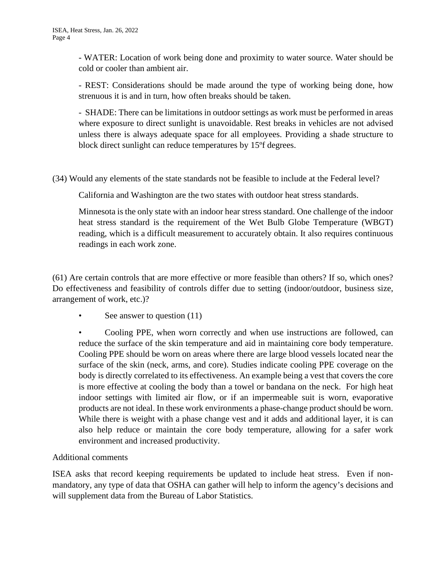- WATER: Location of work being done and proximity to water source. Water should be cold or cooler than ambient air.

- REST: Considerations should be made around the type of working being done, how strenuous it is and in turn, how often breaks should be taken.

- SHADE: There can be limitations in outdoor settings as work must be performed in areas where exposure to direct sunlight is unavoidable. Rest breaks in vehicles are not advised unless there is always adequate space for all employees. Providing a shade structure to block direct sunlight can reduce temperatures by 15ºf degrees.

(34) Would any elements of the state standards not be feasible to include at the Federal level?

California and Washington are the two states with outdoor heat stress standards.

Minnesota is the only state with an indoor hear stress standard. One challenge of the indoor heat stress standard is the requirement of the Wet Bulb Globe Temperature (WBGT) reading, which is a difficult measurement to accurately obtain. It also requires continuous readings in each work zone.

(61) Are certain controls that are more effective or more feasible than others? If so, which ones? Do effectiveness and feasibility of controls differ due to setting (indoor/outdoor, business size, arrangement of work, etc.)?

See answer to question (11)

• Cooling PPE, when worn correctly and when use instructions are followed, can reduce the surface of the skin temperature and aid in maintaining core body temperature. Cooling PPE should be worn on areas where there are large blood vessels located near the surface of the skin (neck, arms, and core). Studies indicate cooling PPE coverage on the body is directly correlated to its effectiveness. An example being a vest that covers the core is more effective at cooling the body than a towel or bandana on the neck. For high heat indoor settings with limited air flow, or if an impermeable suit is worn, evaporative products are not ideal. In these work environments a phase-change product should be worn. While there is weight with a phase change vest and it adds and additional layer, it is can also help reduce or maintain the core body temperature, allowing for a safer work environment and increased productivity.

## Additional comments

ISEA asks that record keeping requirements be updated to include heat stress. Even if nonmandatory, any type of data that OSHA can gather will help to inform the agency's decisions and will supplement data from the Bureau of Labor Statistics.